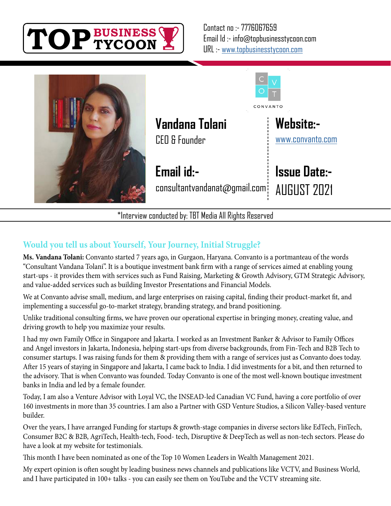



\*Interview conducted by: TBT Media All Rights Reserved

# **Would you tell us about Yourself, Your Journey, Initial Struggle?**

**Ms. Vandana Tolani:** Convanto started 7 years ago, in Gurgaon, Haryana. Convanto is a portmanteau of the words "Consultant Vandana Tolani". It is a boutique investment bank firm with a range of services aimed at enabling young start-ups - it provides them with services such as Fund Raising, Marketing & Growth Advisory, GTM Strategic Advisory, and value-added services such as building Investor Presentations and Financial Models.

We at Convanto advise small, medium, and large enterprises on raising capital, finding their product-market fit, and implementing a successful go-to-market strategy, branding strategy, and brand positioning.

Unlike traditional consulting firms, we have proven our operational expertise in bringing money, creating value, and driving growth to help you maximize your results.

I had my own Family Office in Singapore and Jakarta. I worked as an Investment Banker & Advisor to Family Offices and Angel investors in Jakarta, Indonesia, helping start-ups from diverse backgrounds, from Fin-Tech and B2B Tech to consumer startups. I was raising funds for them & providing them with a range of services just as Convanto does today. After 15 years of staying in Singapore and Jakarta, I came back to India. I did investments for a bit, and then returned to the advisory. That is when Convanto was founded. Today Convanto is one of the most well-known boutique investment banks in India and led by a female founder.

Today, I am also a Venture Advisor with Loyal VC, the INSEAD-led Canadian VC Fund, having a core portfolio of over 160 investments in more than 35 countries. I am also a Partner with GSD Venture Studios, a Silicon Valley-based venture builder.

Over the years, I have arranged Funding for startups & growth-stage companies in diverse sectors like EdTech, FinTech, Consumer B2C & B2B, AgriTech, Health-tech, Food- tech, Disruptive & DeepTech as well as non-tech sectors. Please do have a look at my website for testimonials.

This month I have been nominated as one of the Top 10 Women Leaders in Wealth Management 2021.

My expert opinion is often sought by leading business news channels and publications like VCTV, and Business World, and I have participated in 100+ talks - you can easily see them on YouTube and the VCTV streaming site.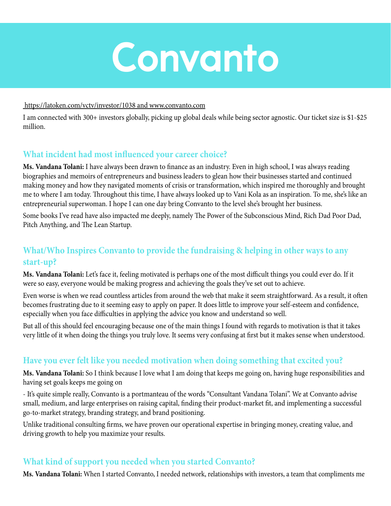

#### https://latoken.com/vctv/investor/1038 and www.convanto.com

I am connected with 300+ investors globally, picking up global deals while being sector agnostic. Our ticket size is \$1-\$25 million.

#### **What incident had most influenced your career choice?**

**Ms. Vandana Tolani:** I have always been drawn to finance as an industry. Even in high school, I was always reading biographies and memoirs of entrepreneurs and business leaders to glean how their businesses started and continued making money and how they navigated moments of crisis or transformation, which inspired me thoroughly and brought me to where I am today. Throughout this time, I have always looked up to Vani Kola as an inspiration. To me, she's like an entrepreneurial superwoman. I hope I can one day bring Convanto to the level she's brought her business.

Some books I've read have also impacted me deeply, namely The Power of the Subconscious Mind, Rich Dad Poor Dad, Pitch Anything, and The Lean Startup.

## **What/Who Inspires Convanto to provide the fundraising & helping in other ways to any start-up?**

**Ms. Vandana Tolani:** Let's face it, feeling motivated is perhaps one of the most difficult things you could ever do. If it were so easy, everyone would be making progress and achieving the goals they've set out to achieve.

Even worse is when we read countless articles from around the web that make it seem straightforward. As a result, it often becomes frustrating due to it seeming easy to apply on paper. It does little to improve your self-esteem and confidence, especially when you face difficulties in applying the advice you know and understand so well.

But all of this should feel encouraging because one of the main things I found with regards to motivation is that it takes very little of it when doing the things you truly love. It seems very confusing at first but it makes sense when understood.

#### **Have you ever felt like you needed motivation when doing something that excited you?**

**Ms. Vandana Tolani:** So I think because I love what I am doing that keeps me going on, having huge responsibilities and having set goals keeps me going on

- It's quite simple really, Convanto is a portmanteau of the words "Consultant Vandana Tolani". We at Convanto advise small, medium, and large enterprises on raising capital, finding their product-market fit, and implementing a successful go-to-market strategy, branding strategy, and brand positioning.

Unlike traditional consulting firms, we have proven our operational expertise in bringing money, creating value, and driving growth to help you maximize your results.

#### **What kind of support you needed when you started Convanto?**

**Ms. Vandana Tolani:** When I started Convanto, I needed network, relationships with investors, a team that compliments me